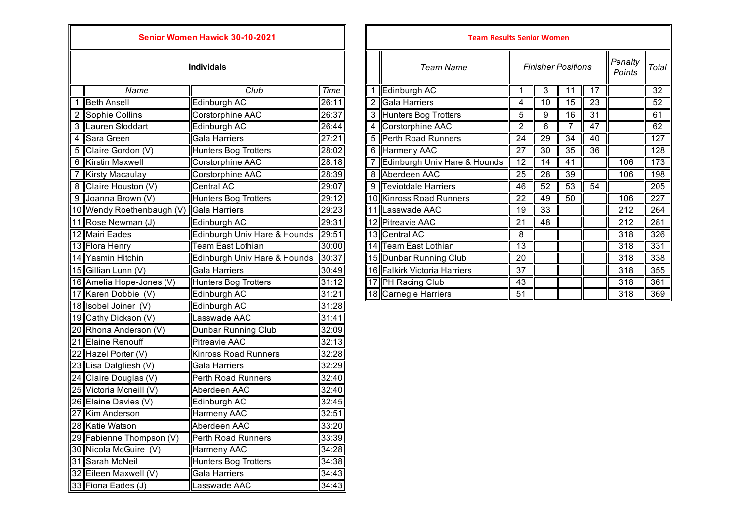|   |                           | <b>Senior Women Hawick 30-10-2021</b> |       |   | <b>Team Results Senior Women</b> |                 |                 |                          |
|---|---------------------------|---------------------------------------|-------|---|----------------------------------|-----------------|-----------------|--------------------------|
|   |                           | <b>Individals</b>                     |       |   | <b>Team Name</b>                 |                 | Finisher Pos    |                          |
|   | Name                      | Club                                  | Time  | 1 | Edinburgh AC                     | 1               | $\overline{3}$  |                          |
|   | 1 Beth Ansell             | Edinburgh AC                          | 26:11 | 2 | Gala Harriers                    | 4               | 10              | $\overline{\mathbf{1}}$  |
|   | 2 Sophie Collins          | Corstorphine AAC                      | 26:37 | 3 | Hunters Bog Trotters             | 5               | 9               | -1                       |
|   | 3 Lauren Stoddart         | Edinburgh AC                          | 26:44 | 4 | Corstorphine AAC                 | $\overline{2}$  | 6               |                          |
| 4 | Sara Green                | Gala Harriers                         | 27:21 | 5 | Perth Road Runners               | $\overline{24}$ | $\overline{29}$ | ડ                        |
| 5 | Claire Gordon (V)         | <b>Hunters Bog Trotters</b>           | 28:02 | 6 | <b>Harmeny AAC</b>               | $\overline{27}$ | 30              | G                        |
| 6 | <b>Kirstin Maxwell</b>    | Corstorphine AAC                      | 28:18 | 7 | Edinburgh Univ Hare & Hounds     | 12              | 14              | $\overline{\mathcal{L}}$ |
|   | 7 Kirsty Macaulay         | Corstorphine AAC                      | 28:39 | 8 | Aberdeen AAC                     | $\overline{25}$ | 28              | G                        |
|   | 8 Claire Houston (V)      | Central AC                            | 29:07 | 9 | <b>Teviotdale Harriers</b>       | 46              | 52              | $\epsilon$               |
|   | 9 Joanna Brown (V)        | Hunters Bog Trotters                  | 29:12 |   | 10 Kinross Road Runners          | $\overline{22}$ | 49              | ŗ                        |
|   | 10 Wendy Roethenbaugh (V) | <b>Gala Harriers</b>                  | 29:23 |   | 11 Lasswade AAC                  | 19              | 33              |                          |
|   | 11 Rose Newman (J)        | Edinburgh AC                          | 29:31 |   | 12 Pitreavie AAC                 | 21              | 48              |                          |
|   | 12 Mairi Eades            | Edinburgh Univ Hare & Hounds          | 29:51 |   | 13 Central AC                    | 8               |                 |                          |
|   | 13 Flora Henry            | Team East Lothian                     | 30:00 |   | 14 Team East Lothian             | 13              |                 |                          |
|   | 14 Yasmin Hitchin         | Edinburgh Univ Hare & Hounds          | 30:37 |   | 15 Dunbar Running Club           | 20              |                 |                          |
|   | 15 Gillian Lunn (V)       | <b>Gala Harriers</b>                  | 30:49 |   | 16 Falkirk Victoria Harriers     | 37              |                 |                          |
|   | 16 Amelia Hope-Jones (V)  | <b>Hunters Bog Trotters</b>           | 31:12 |   | 17 PH Racing Club                | 43              |                 |                          |
|   | 17 Karen Dobbie (V)       | Edinburgh AC                          | 31:21 |   | 18 Carnegie Harriers             | 51              |                 |                          |
|   | 18 Isobel Joiner (V)      | Edinburgh AC                          | 31:28 |   |                                  |                 |                 |                          |
|   | 19 Cathy Dickson (V)      | Lasswade AAC                          | 31:41 |   |                                  |                 |                 |                          |
|   | 20 Rhona Anderson (V)     | Dunbar Running Club                   | 32:09 |   |                                  |                 |                 |                          |
|   | 21 Elaine Renouff         | <b>Pitreavie AAC</b>                  | 32:13 |   |                                  |                 |                 |                          |
|   | 22 Hazel Porter (V)       | <b>Kinross Road Runners</b>           | 32:28 |   |                                  |                 |                 |                          |
|   | 23 Lisa Dalgliesh (V)     | Gala Harriers                         | 32:29 |   |                                  |                 |                 |                          |
|   | 24 Claire Douglas (V)     | Perth Road Runners                    | 32:40 |   |                                  |                 |                 |                          |
|   | 25 Victoria Mcneill (V)   | Aberdeen AAC                          | 32:40 |   |                                  |                 |                 |                          |
|   | 26 Elaine Davies (V)      | Edinburgh AC                          | 32:45 |   |                                  |                 |                 |                          |
|   | 27 Kim Anderson           | Harmeny AAC                           | 32:51 |   |                                  |                 |                 |                          |
|   | 28 Katie Watson           | Aberdeen AAC                          | 33:20 |   |                                  |                 |                 |                          |
|   | 29 Fabienne Thompson (V)  | Perth Road Runners                    | 33:39 |   |                                  |                 |                 |                          |
|   | 30 Nicola McGuire (V)     | Harmeny AAC                           | 34:28 |   |                                  |                 |                 |                          |
|   | 31 Sarah McNeil           | <b>Hunters Bog Trotters</b>           | 34:38 |   |                                  |                 |                 |                          |
|   | 32 Eileen Maxwell (V)     | Gala Harriers                         | 34:43 |   |                                  |                 |                 |                          |
|   | 33 Fiona Eades (J)        | Lasswade AAC                          | 34:43 |   |                                  |                 |                 |                          |

IГ

| Senior Women Hawick 30-10-2021 |                           |                              |       | <b>Team Results Senior Women</b> |                              |                |                           |                 |                 |     |                 |
|--------------------------------|---------------------------|------------------------------|-------|----------------------------------|------------------------------|----------------|---------------------------|-----------------|-----------------|-----|-----------------|
| <b>Individals</b>              |                           |                              |       |                                  | Team Name                    |                | <b>Finisher Positions</b> |                 |                 |     | <b>Total</b>    |
|                                | Name                      | Club                         | Time  |                                  | Edinburgh AC                 |                | 3                         | 11              | 17              |     | $\overline{32}$ |
|                                | <b>Beth Ansell</b>        | Edinburgh AC                 | 26:11 |                                  | Gala Harriers                | 4              | 10                        | 15              | 23              |     | 52              |
|                                | 2 Sophie Collins          | Corstorphine AAC             | 26:37 |                                  | 3 Hunters Bog Trotters       | 5              | 9                         | 16              | 31              |     | 61              |
|                                | 3 Lauren Stoddart         | Edinburgh AC                 | 26:44 |                                  | Corstorphine AAC             | $\overline{2}$ | 6                         | 7               | $\overline{47}$ |     | 62              |
|                                | 4 Sara Green              | <b>Gala Harriers</b>         | 27:21 |                                  | 5 Perth Road Runners         | 24             | 29                        | 34              | 40              |     | 127             |
|                                | 5 Claire Gordon (V)       | Hunters Bog Trotters         | 28:02 |                                  | 6 Harmeny AAC                | 27             | 30                        | 35              | 36              |     | 128             |
|                                | 6 Kirstin Maxwell         | Corstorphine AAC             | 28:18 |                                  | Edinburgh Univ Hare & Hounds | 12             | 14                        | 41              |                 | 106 | 173             |
|                                | 7 Kirsty Macaulay         | Corstorphine AAC             | 28:39 |                                  | 8 Aberdeen AAC               | 25             | 28                        | 39              |                 | 106 | 198             |
|                                | 8 Claire Houston (V)      | <b>Central AC</b>            | 29:07 |                                  | 9 Teviotdale Harriers        | 46             | 52                        | $\overline{53}$ | 54              |     | 205             |
|                                | 9 Joanna Brown (V)        | Hunters Bog Trotters         | 29:12 |                                  | 10 Kinross Road Runners      | 22             | 49                        | 50              |                 | 106 | 227             |
|                                | 10 Wendy Roethenbaugh (V) | Gala Harriers                | 29:23 |                                  | 11 Lasswade AAC              | 19             | 33                        |                 |                 | 212 | 264             |
|                                | 11 Rose Newman (J)        | Edinburgh AC                 | 29:31 |                                  | 12 Pitreavie AAC             | 21             | 48                        |                 |                 | 212 | 281             |
|                                | 12 Mairi Eades            | Edinburgh Univ Hare & Hounds | 29:51 |                                  | 13 Central AC                | 8              |                           |                 |                 | 318 | 326             |
|                                | 13 Flora Henry            | Team East Lothian            | 30:00 |                                  | 14 Team East Lothian         | 13             |                           |                 |                 | 318 | 331             |
|                                | 14 Yasmin Hitchin         | Edinburgh Univ Hare & Hounds | 30:37 |                                  | 15 Dunbar Running Club       | 20             |                           |                 |                 | 318 | 338             |
|                                | 15 Gillian Lunn (V)       | <b>Gala Harriers</b>         | 30:49 |                                  | 16 Falkirk Victoria Harriers | 37             |                           |                 |                 | 318 | 355             |
|                                | 16 Amelia Hope-Jones (V)  | <b>Hunters Bog Trotters</b>  | 31:12 |                                  | 17 PH Racing Club            | 43             |                           |                 |                 | 318 | 361             |
|                                | 17 Karen Dobbie (V)       | Edinburgh AC                 | 31:21 |                                  | 18 Carnegie Harriers         | 51             |                           |                 |                 | 318 | 369             |
|                                |                           |                              |       |                                  |                              |                |                           |                 |                 |     |                 |